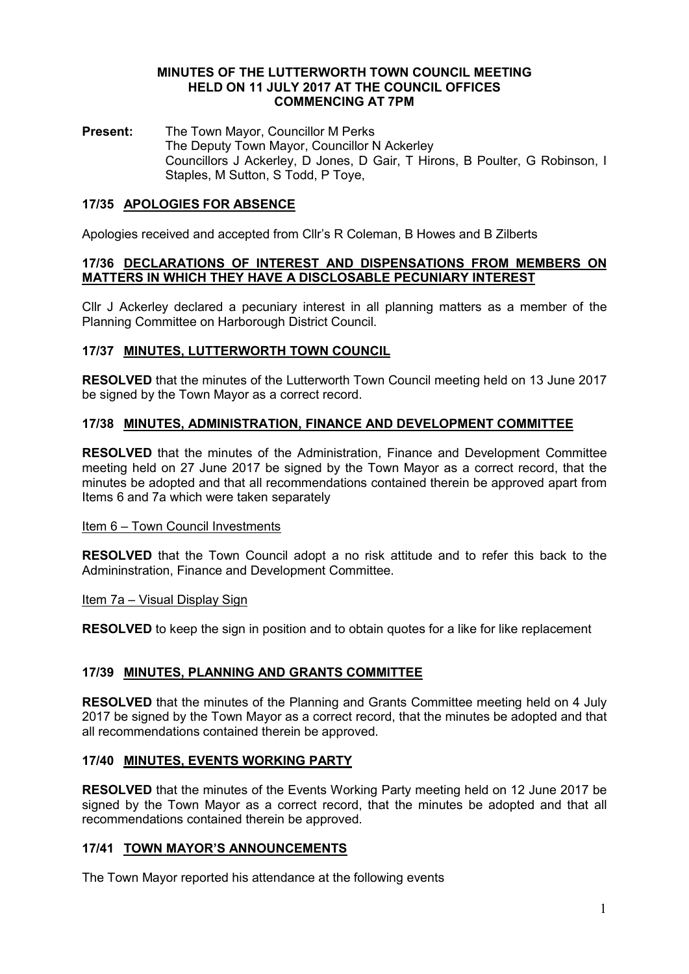#### MINUTES OF THE LUTTERWORTH TOWN COUNCIL MEETING HELD ON 11 JULY 2017 AT THE COUNCIL OFFICES COMMENCING AT 7PM

Present: The Town Mayor, Councillor M Perks The Deputy Town Mayor, Councillor N Ackerley Councillors J Ackerley, D Jones, D Gair, T Hirons, B Poulter, G Robinson, I Staples, M Sutton, S Todd, P Toye,

# 17/35 APOLOGIES FOR ABSENCE

Apologies received and accepted from Cllr's R Coleman, B Howes and B Zilberts

#### 17/36 DECLARATIONS OF INTEREST AND DISPENSATIONS FROM MEMBERS ON MATTERS IN WHICH THEY HAVE A DISCLOSABLE PECUNIARY INTEREST

Cllr J Ackerley declared a pecuniary interest in all planning matters as a member of the Planning Committee on Harborough District Council.

## 17/37 MINUTES, LUTTERWORTH TOWN COUNCIL

RESOLVED that the minutes of the Lutterworth Town Council meeting held on 13 June 2017 be signed by the Town Mayor as a correct record.

## 17/38 MINUTES, ADMINISTRATION, FINANCE AND DEVELOPMENT COMMITTEE

RESOLVED that the minutes of the Administration, Finance and Development Committee meeting held on 27 June 2017 be signed by the Town Mayor as a correct record, that the minutes be adopted and that all recommendations contained therein be approved apart from Items 6 and 7a which were taken separately

## Item 6 – Town Council Investments

RESOLVED that the Town Council adopt a no risk attitude and to refer this back to the Admininstration, Finance and Development Committee.

## Item 7a – Visual Display Sign

RESOLVED to keep the sign in position and to obtain quotes for a like for like replacement

## 17/39 MINUTES, PLANNING AND GRANTS COMMITTEE

RESOLVED that the minutes of the Planning and Grants Committee meeting held on 4 July 2017 be signed by the Town Mayor as a correct record, that the minutes be adopted and that all recommendations contained therein be approved.

## 17/40 MINUTES, EVENTS WORKING PARTY

RESOLVED that the minutes of the Events Working Party meeting held on 12 June 2017 be signed by the Town Mayor as a correct record, that the minutes be adopted and that all recommendations contained therein be approved.

## 17/41 TOWN MAYOR'S ANNOUNCEMENTS

The Town Mayor reported his attendance at the following events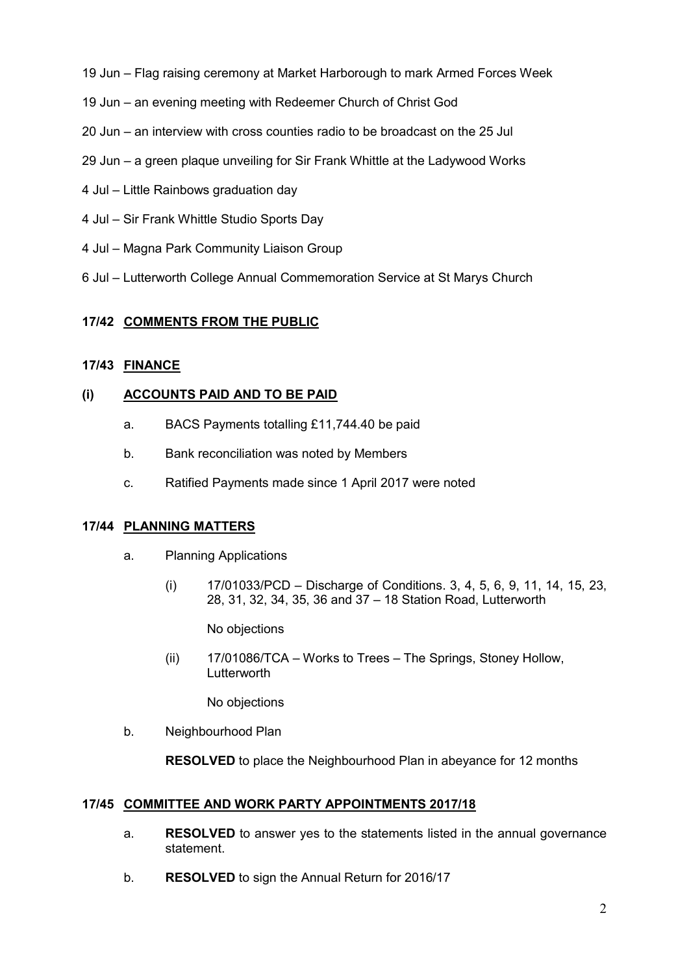- 19 Jun Flag raising ceremony at Market Harborough to mark Armed Forces Week
- 19 Jun an evening meeting with Redeemer Church of Christ God
- 20 Jun an interview with cross counties radio to be broadcast on the 25 Jul
- 29 Jun a green plaque unveiling for Sir Frank Whittle at the Ladywood Works
- 4 Jul Little Rainbows graduation day
- 4 Jul Sir Frank Whittle Studio Sports Day
- 4 Jul Magna Park Community Liaison Group
- 6 Jul Lutterworth College Annual Commemoration Service at St Marys Church

## 17/42 COMMENTS FROM THE PUBLIC

## 17/43 FINANCE

## (i) ACCOUNTS PAID AND TO BE PAID

- a. BACS Payments totalling £11,744.40 be paid
- b. Bank reconciliation was noted by Members
- c. Ratified Payments made since 1 April 2017 were noted

## 17/44 PLANNING MATTERS

- a. Planning Applications
	- (i) 17/01033/PCD Discharge of Conditions. 3, 4, 5, 6, 9, 11, 14, 15, 23, 28, 31, 32, 34, 35, 36 and 37 – 18 Station Road, Lutterworth

No objections

(ii) 17/01086/TCA – Works to Trees – The Springs, Stoney Hollow, **Lutterworth** 

No objections

b. Neighbourhood Plan

RESOLVED to place the Neighbourhood Plan in abeyance for 12 months

## 17/45 COMMITTEE AND WORK PARTY APPOINTMENTS 2017/18

- a. RESOLVED to answer yes to the statements listed in the annual governance statement.
- b. RESOLVED to sign the Annual Return for 2016/17